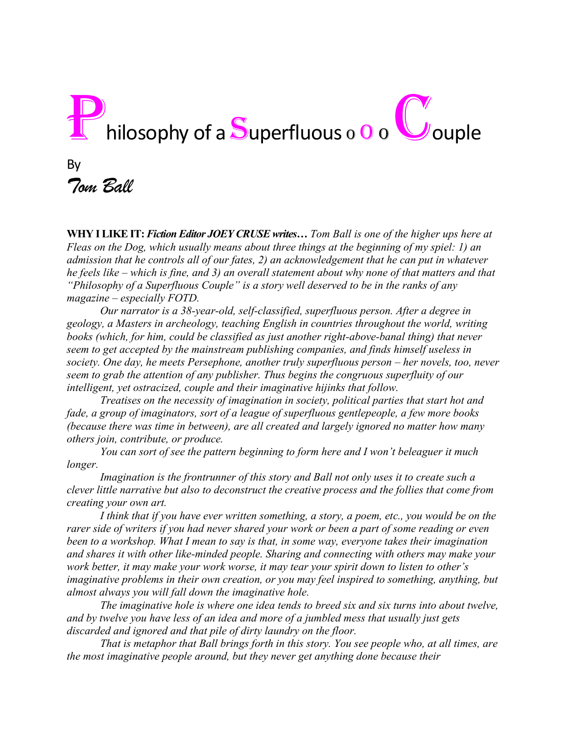# Philosophy of a Superfluous o 0 o U ouple By *Tom Ball*

**WHY I LIKE IT:** *Fiction Editor JOEY CRUSE writes… Tom Ball is one of the higher ups here at Fleas on the Dog, which usually means about three things at the beginning of my spiel: 1) an admission that he controls all of our fates, 2) an acknowledgement that he can put in whatever he feels like – which is fine, and 3) an overall statement about why none of that matters and that "Philosophy of a Superfluous Couple" is a story well deserved to be in the ranks of any magazine – especially FOTD.*

*Our narrator is a 38-year-old, self-classified, superfluous person. After a degree in geology, a Masters in archeology, teaching English in countries throughout the world, writing books (which, for him, could be classified as just another right-above-banal thing) that never seem to get accepted by the mainstream publishing companies, and finds himself useless in society. One day, he meets Persephone, another truly superfluous person – her novels, too, never seem to grab the attention of any publisher. Thus begins the congruous superfluity of our intelligent, yet ostracized, couple and their imaginative hijinks that follow.*

*Treatises on the necessity of imagination in society, political parties that start hot and fade, a group of imaginators, sort of a league of superfluous gentlepeople, a few more books (because there was time in between), are all created and largely ignored no matter how many others join, contribute, or produce.* 

*You can sort of see the pattern beginning to form here and I won't beleaguer it much longer.* 

*Imagination is the frontrunner of this story and Ball not only uses it to create such a clever little narrative but also to deconstruct the creative process and the follies that come from creating your own art.*

*I think that if you have ever written something, a story, a poem, etc., you would be on the rarer side of writers if you had never shared your work or been a part of some reading or even been to a workshop. What I mean to say is that, in some way, everyone takes their imagination and shares it with other like-minded people. Sharing and connecting with others may make your work better, it may make your work worse, it may tear your spirit down to listen to other's imaginative problems in their own creation, or you may feel inspired to something, anything, but almost always you will fall down the imaginative hole.* 

*The imaginative hole is where one idea tends to breed six and six turns into about twelve, and by twelve you have less of an idea and more of a jumbled mess that usually just gets discarded and ignored and that pile of dirty laundry on the floor.*

*That is metaphor that Ball brings forth in this story. You see people who, at all times, are the most imaginative people around, but they never get anything done because their*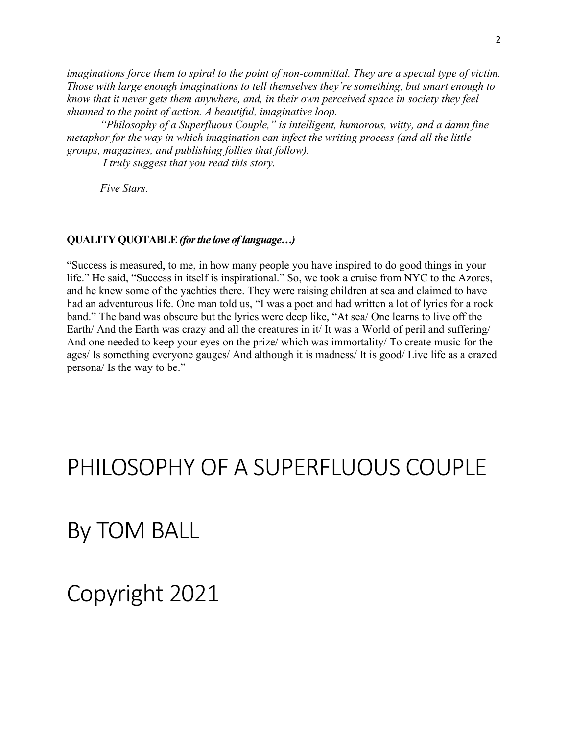*imaginations force them to spiral to the point of non-committal. They are a special type of victim. Those with large enough imaginations to tell themselves they're something, but smart enough to know that it never gets them anywhere, and, in their own perceived space in society they feel shunned to the point of action. A beautiful, imaginative loop.*

*"Philosophy of a Superfluous Couple," is intelligent, humorous, witty, and a damn fine metaphor for the way in which imagination can infect the writing process (and all the little groups, magazines, and publishing follies that follow).* 

*I truly suggest that you read this story.*

*Five Stars.* 

### **QUALITY QUOTABLE***(for the love of language…)*

"Success is measured, to me, in how many people you have inspired to do good things in your life." He said, "Success in itself is inspirational." So, we took a cruise from NYC to the Azores, and he knew some of the yachties there. They were raising children at sea and claimed to have had an adventurous life. One man told us, "I was a poet and had written a lot of lyrics for a rock band." The band was obscure but the lyrics were deep like, "At sea/ One learns to live off the Earth/ And the Earth was crazy and all the creatures in it/ It was a World of peril and suffering/ And one needed to keep your eyes on the prize/ which was immortality/ To create music for the ages/ Is something everyone gauges/ And although it is madness/ It is good/ Live life as a crazed persona/ Is the way to be."

### PHILOSOPHY OF A SUPERFLUOUS COUPLE

### By TOM BALL

## Copyright 2021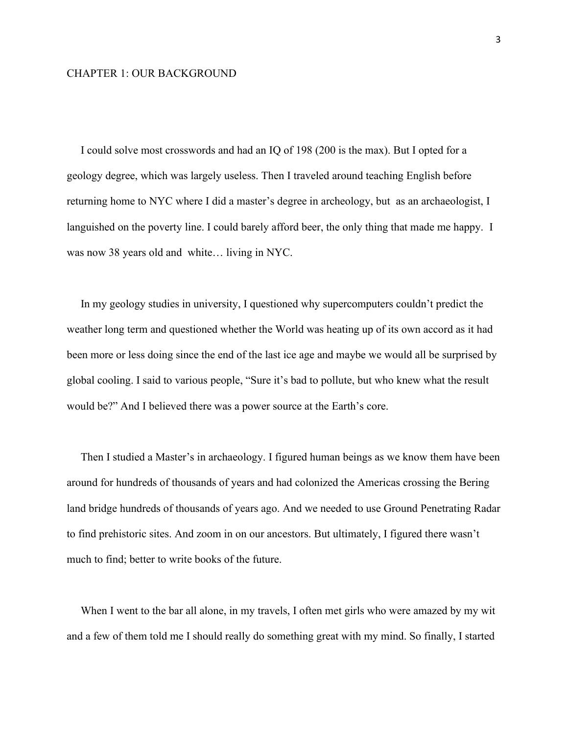#### CHAPTER 1: OUR BACKGROUND

 I could solve most crosswords and had an IQ of 198 (200 is the max). But I opted for a geology degree, which was largely useless. Then I traveled around teaching English before returning home to NYC where I did a master's degree in archeology, but as an archaeologist, I languished on the poverty line. I could barely afford beer, the only thing that made me happy. I was now 38 years old and white… living in NYC.

 In my geology studies in university, I questioned why supercomputers couldn't predict the weather long term and questioned whether the World was heating up of its own accord as it had been more or less doing since the end of the last ice age and maybe we would all be surprised by global cooling. I said to various people, "Sure it's bad to pollute, but who knew what the result would be?" And I believed there was a power source at the Earth's core.

 Then I studied a Master's in archaeology. I figured human beings as we know them have been around for hundreds of thousands of years and had colonized the Americas crossing the Bering land bridge hundreds of thousands of years ago. And we needed to use Ground Penetrating Radar to find prehistoric sites. And zoom in on our ancestors. But ultimately, I figured there wasn't much to find; better to write books of the future.

When I went to the bar all alone, in my travels, I often met girls who were amazed by my wit and a few of them told me I should really do something great with my mind. So finally, I started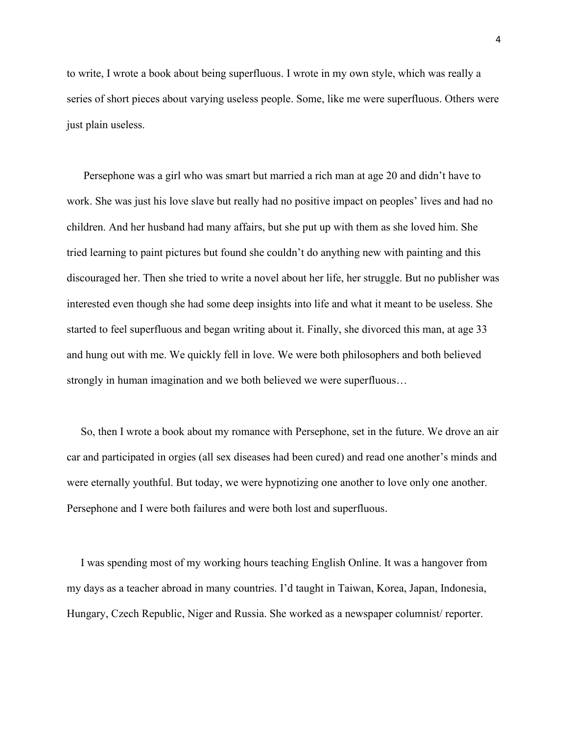to write, I wrote a book about being superfluous. I wrote in my own style, which was really a series of short pieces about varying useless people. Some, like me were superfluous. Others were just plain useless.

 Persephone was a girl who was smart but married a rich man at age 20 and didn't have to work. She was just his love slave but really had no positive impact on peoples' lives and had no children. And her husband had many affairs, but she put up with them as she loved him. She tried learning to paint pictures but found she couldn't do anything new with painting and this discouraged her. Then she tried to write a novel about her life, her struggle. But no publisher was interested even though she had some deep insights into life and what it meant to be useless. She started to feel superfluous and began writing about it. Finally, she divorced this man, at age 33 and hung out with me. We quickly fell in love. We were both philosophers and both believed strongly in human imagination and we both believed we were superfluous…

 So, then I wrote a book about my romance with Persephone, set in the future. We drove an air car and participated in orgies (all sex diseases had been cured) and read one another's minds and were eternally youthful. But today, we were hypnotizing one another to love only one another. Persephone and I were both failures and were both lost and superfluous.

 I was spending most of my working hours teaching English Online. It was a hangover from my days as a teacher abroad in many countries. I'd taught in Taiwan, Korea, Japan, Indonesia, Hungary, Czech Republic, Niger and Russia. She worked as a newspaper columnist/ reporter.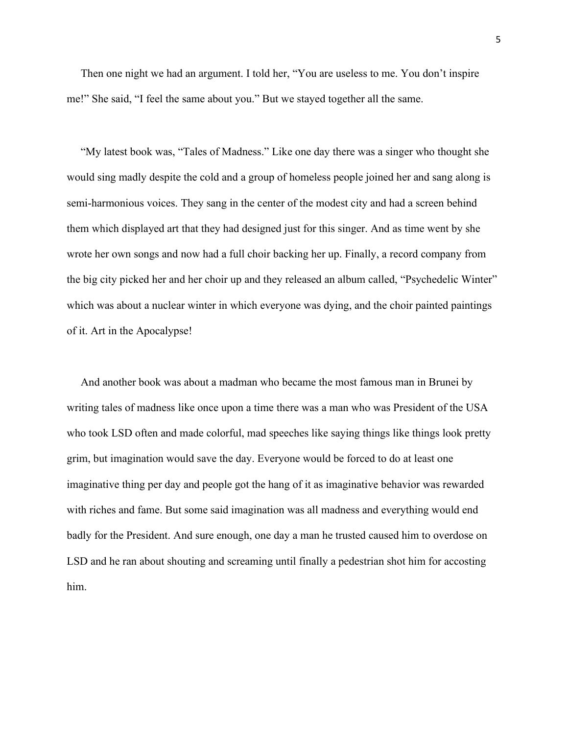Then one night we had an argument. I told her, "You are useless to me. You don't inspire me!" She said, "I feel the same about you." But we stayed together all the same.

 "My latest book was, "Tales of Madness." Like one day there was a singer who thought she would sing madly despite the cold and a group of homeless people joined her and sang along is semi-harmonious voices. They sang in the center of the modest city and had a screen behind them which displayed art that they had designed just for this singer. And as time went by she wrote her own songs and now had a full choir backing her up. Finally, a record company from the big city picked her and her choir up and they released an album called, "Psychedelic Winter" which was about a nuclear winter in which everyone was dying, and the choir painted paintings of it. Art in the Apocalypse!

 And another book was about a madman who became the most famous man in Brunei by writing tales of madness like once upon a time there was a man who was President of the USA who took LSD often and made colorful, mad speeches like saying things like things look pretty grim, but imagination would save the day. Everyone would be forced to do at least one imaginative thing per day and people got the hang of it as imaginative behavior was rewarded with riches and fame. But some said imagination was all madness and everything would end badly for the President. And sure enough, one day a man he trusted caused him to overdose on LSD and he ran about shouting and screaming until finally a pedestrian shot him for accosting him.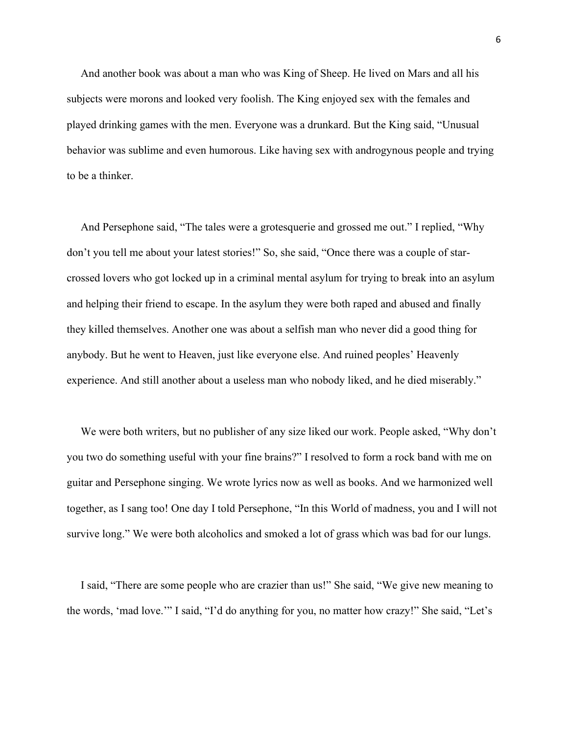And another book was about a man who was King of Sheep. He lived on Mars and all his subjects were morons and looked very foolish. The King enjoyed sex with the females and played drinking games with the men. Everyone was a drunkard. But the King said, "Unusual behavior was sublime and even humorous. Like having sex with androgynous people and trying to be a thinker.

 And Persephone said, "The tales were a grotesquerie and grossed me out." I replied, "Why don't you tell me about your latest stories!" So, she said, "Once there was a couple of starcrossed lovers who got locked up in a criminal mental asylum for trying to break into an asylum and helping their friend to escape. In the asylum they were both raped and abused and finally they killed themselves. Another one was about a selfish man who never did a good thing for anybody. But he went to Heaven, just like everyone else. And ruined peoples' Heavenly experience. And still another about a useless man who nobody liked, and he died miserably."

 We were both writers, but no publisher of any size liked our work. People asked, "Why don't you two do something useful with your fine brains?" I resolved to form a rock band with me on guitar and Persephone singing. We wrote lyrics now as well as books. And we harmonized well together, as I sang too! One day I told Persephone, "In this World of madness, you and I will not survive long." We were both alcoholics and smoked a lot of grass which was bad for our lungs.

 I said, "There are some people who are crazier than us!" She said, "We give new meaning to the words, 'mad love.'" I said, "I'd do anything for you, no matter how crazy!" She said, "Let's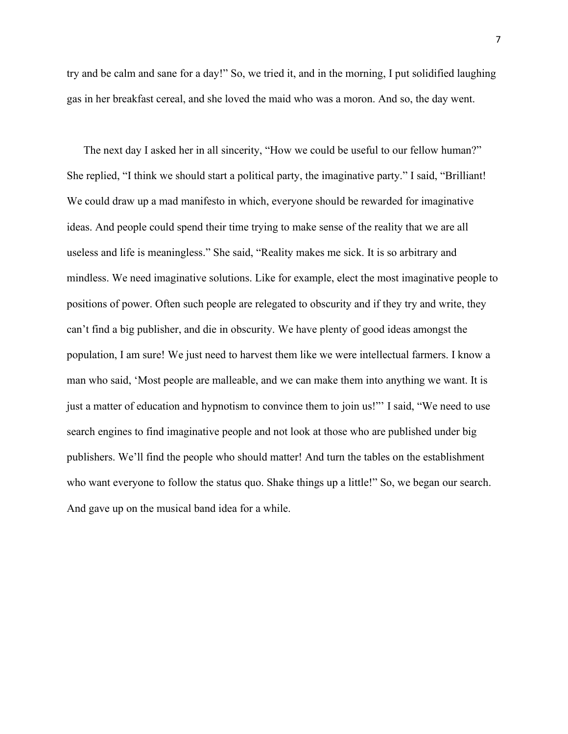try and be calm and sane for a day!" So, we tried it, and in the morning, I put solidified laughing gas in her breakfast cereal, and she loved the maid who was a moron. And so, the day went.

 The next day I asked her in all sincerity, "How we could be useful to our fellow human?" She replied, "I think we should start a political party, the imaginative party." I said, "Brilliant! We could draw up a mad manifesto in which, everyone should be rewarded for imaginative ideas. And people could spend their time trying to make sense of the reality that we are all useless and life is meaningless." She said, "Reality makes me sick. It is so arbitrary and mindless. We need imaginative solutions. Like for example, elect the most imaginative people to positions of power. Often such people are relegated to obscurity and if they try and write, they can't find a big publisher, and die in obscurity. We have plenty of good ideas amongst the population, I am sure! We just need to harvest them like we were intellectual farmers. I know a man who said, 'Most people are malleable, and we can make them into anything we want. It is just a matter of education and hypnotism to convince them to join us!"' I said, "We need to use search engines to find imaginative people and not look at those who are published under big publishers. We'll find the people who should matter! And turn the tables on the establishment who want everyone to follow the status quo. Shake things up a little!" So, we began our search. And gave up on the musical band idea for a while.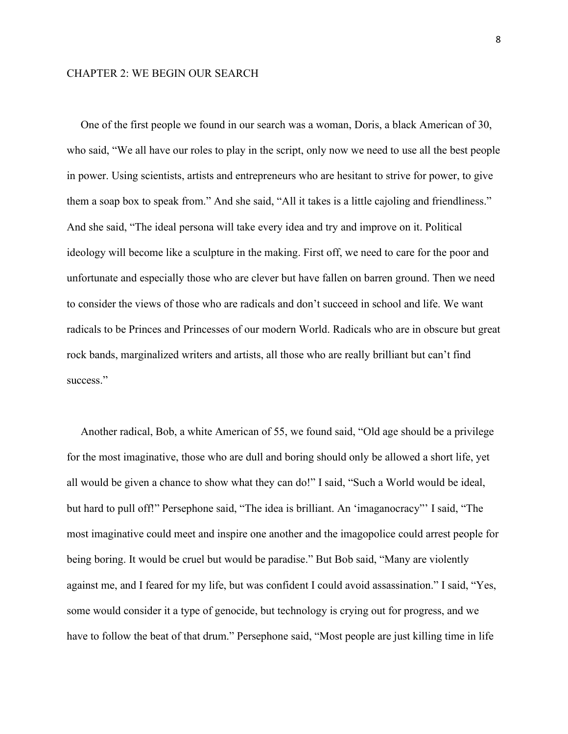#### CHAPTER 2: WE BEGIN OUR SEARCH

 One of the first people we found in our search was a woman, Doris, a black American of 30, who said, "We all have our roles to play in the script, only now we need to use all the best people in power. Using scientists, artists and entrepreneurs who are hesitant to strive for power, to give them a soap box to speak from." And she said, "All it takes is a little cajoling and friendliness." And she said, "The ideal persona will take every idea and try and improve on it. Political ideology will become like a sculpture in the making. First off, we need to care for the poor and unfortunate and especially those who are clever but have fallen on barren ground. Then we need to consider the views of those who are radicals and don't succeed in school and life. We want radicals to be Princes and Princesses of our modern World. Radicals who are in obscure but great rock bands, marginalized writers and artists, all those who are really brilliant but can't find success."

 Another radical, Bob, a white American of 55, we found said, "Old age should be a privilege for the most imaginative, those who are dull and boring should only be allowed a short life, yet all would be given a chance to show what they can do!" I said, "Such a World would be ideal, but hard to pull off!" Persephone said, "The idea is brilliant. An 'imaganocracy" I said, "The most imaginative could meet and inspire one another and the imagopolice could arrest people for being boring. It would be cruel but would be paradise." But Bob said, "Many are violently against me, and I feared for my life, but was confident I could avoid assassination." I said, "Yes, some would consider it a type of genocide, but technology is crying out for progress, and we have to follow the beat of that drum." Persephone said, "Most people are just killing time in life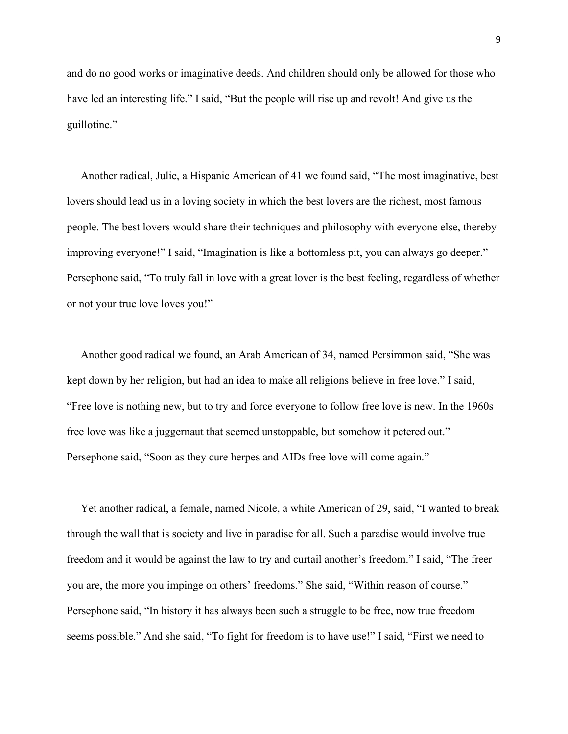and do no good works or imaginative deeds. And children should only be allowed for those who have led an interesting life." I said, "But the people will rise up and revolt! And give us the guillotine."

 Another radical, Julie, a Hispanic American of 41 we found said, "The most imaginative, best lovers should lead us in a loving society in which the best lovers are the richest, most famous people. The best lovers would share their techniques and philosophy with everyone else, thereby improving everyone!" I said, "Imagination is like a bottomless pit, you can always go deeper." Persephone said, "To truly fall in love with a great lover is the best feeling, regardless of whether or not your true love loves you!"

 Another good radical we found, an Arab American of 34, named Persimmon said, "She was kept down by her religion, but had an idea to make all religions believe in free love." I said, "Free love is nothing new, but to try and force everyone to follow free love is new. In the 1960s free love was like a juggernaut that seemed unstoppable, but somehow it petered out." Persephone said, "Soon as they cure herpes and AIDs free love will come again."

 Yet another radical, a female, named Nicole, a white American of 29, said, "I wanted to break through the wall that is society and live in paradise for all. Such a paradise would involve true freedom and it would be against the law to try and curtail another's freedom." I said, "The freer you are, the more you impinge on others' freedoms." She said, "Within reason of course." Persephone said, "In history it has always been such a struggle to be free, now true freedom seems possible." And she said, "To fight for freedom is to have use!" I said, "First we need to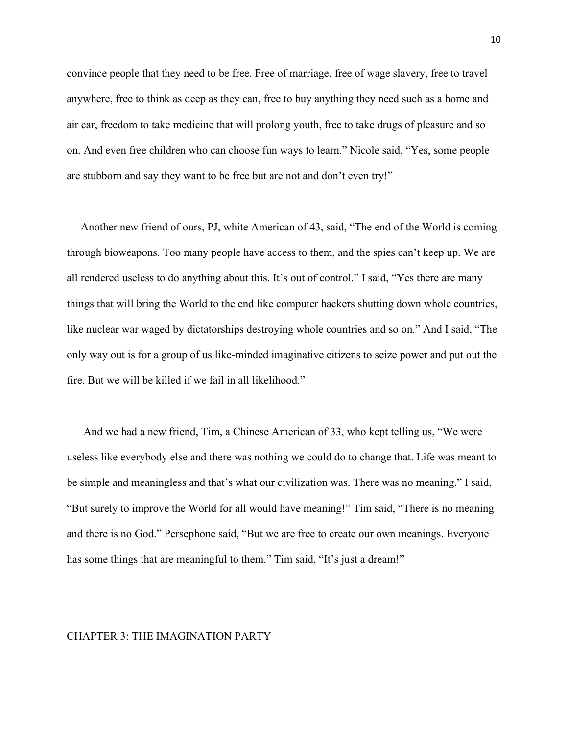convince people that they need to be free. Free of marriage, free of wage slavery, free to travel anywhere, free to think as deep as they can, free to buy anything they need such as a home and air car, freedom to take medicine that will prolong youth, free to take drugs of pleasure and so on. And even free children who can choose fun ways to learn." Nicole said, "Yes, some people are stubborn and say they want to be free but are not and don't even try!"

 Another new friend of ours, PJ, white American of 43, said, "The end of the World is coming through bioweapons. Too many people have access to them, and the spies can't keep up. We are all rendered useless to do anything about this. It's out of control." I said, "Yes there are many things that will bring the World to the end like computer hackers shutting down whole countries, like nuclear war waged by dictatorships destroying whole countries and so on." And I said, "The only way out is for a group of us like-minded imaginative citizens to seize power and put out the fire. But we will be killed if we fail in all likelihood."

 And we had a new friend, Tim, a Chinese American of 33, who kept telling us, "We were useless like everybody else and there was nothing we could do to change that. Life was meant to be simple and meaningless and that's what our civilization was. There was no meaning." I said, "But surely to improve the World for all would have meaning!" Tim said, "There is no meaning and there is no God." Persephone said, "But we are free to create our own meanings. Everyone has some things that are meaningful to them." Tim said, "It's just a dream!"

#### CHAPTER 3: THE IMAGINATION PARTY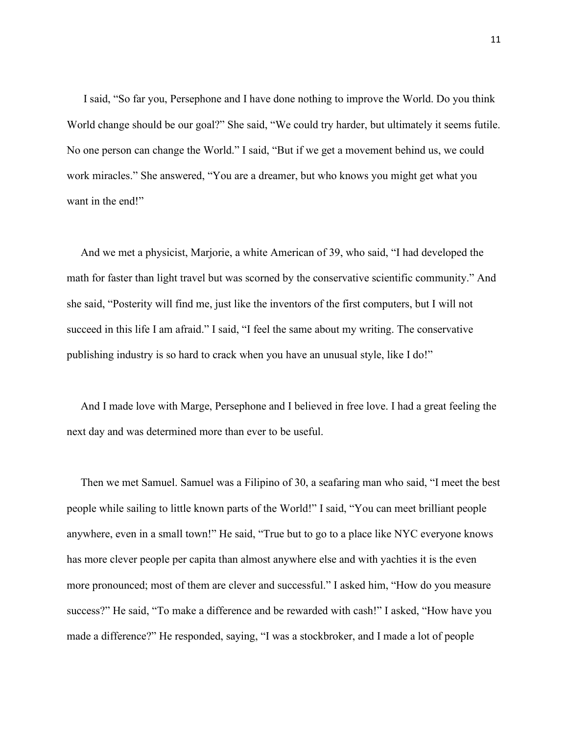I said, "So far you, Persephone and I have done nothing to improve the World. Do you think World change should be our goal?" She said, "We could try harder, but ultimately it seems futile. No one person can change the World." I said, "But if we get a movement behind us, we could work miracles." She answered, "You are a dreamer, but who knows you might get what you want in the end!"

 And we met a physicist, Marjorie, a white American of 39, who said, "I had developed the math for faster than light travel but was scorned by the conservative scientific community." And she said, "Posterity will find me, just like the inventors of the first computers, but I will not succeed in this life I am afraid." I said, "I feel the same about my writing. The conservative publishing industry is so hard to crack when you have an unusual style, like I do!"

 And I made love with Marge, Persephone and I believed in free love. I had a great feeling the next day and was determined more than ever to be useful.

 Then we met Samuel. Samuel was a Filipino of 30, a seafaring man who said, "I meet the best people while sailing to little known parts of the World!" I said, "You can meet brilliant people anywhere, even in a small town!" He said, "True but to go to a place like NYC everyone knows has more clever people per capita than almost anywhere else and with yachties it is the even more pronounced; most of them are clever and successful." I asked him, "How do you measure success?" He said, "To make a difference and be rewarded with cash!" I asked, "How have you made a difference?" He responded, saying, "I was a stockbroker, and I made a lot of people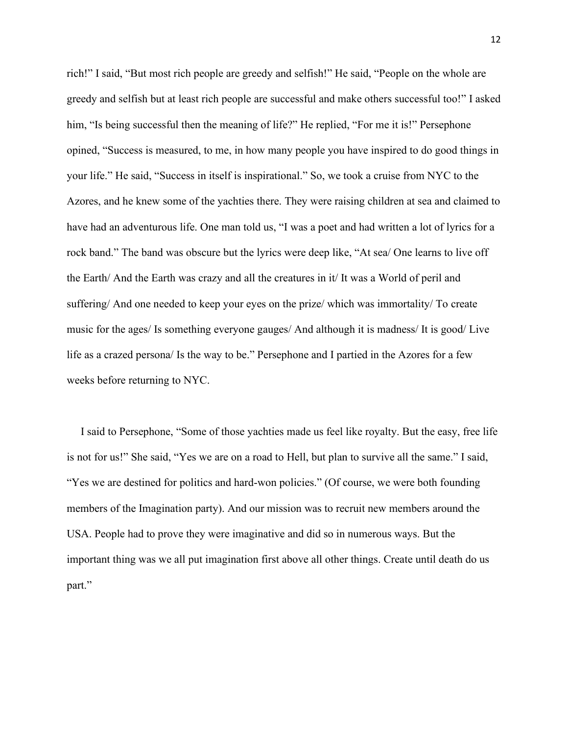rich!" I said, "But most rich people are greedy and selfish!" He said, "People on the whole are greedy and selfish but at least rich people are successful and make others successful too!" I asked him, "Is being successful then the meaning of life?" He replied, "For me it is!" Persephone opined, "Success is measured, to me, in how many people you have inspired to do good things in your life." He said, "Success in itself is inspirational." So, we took a cruise from NYC to the Azores, and he knew some of the yachties there. They were raising children at sea and claimed to have had an adventurous life. One man told us, "I was a poet and had written a lot of lyrics for a rock band." The band was obscure but the lyrics were deep like, "At sea/ One learns to live off the Earth/ And the Earth was crazy and all the creatures in it/ It was a World of peril and suffering/ And one needed to keep your eyes on the prize/ which was immortality/ To create music for the ages/ Is something everyone gauges/ And although it is madness/ It is good/ Live life as a crazed persona/ Is the way to be." Persephone and I partied in the Azores for a few weeks before returning to NYC.

 I said to Persephone, "Some of those yachties made us feel like royalty. But the easy, free life is not for us!" She said, "Yes we are on a road to Hell, but plan to survive all the same." I said, "Yes we are destined for politics and hard-won policies." (Of course, we were both founding members of the Imagination party). And our mission was to recruit new members around the USA. People had to prove they were imaginative and did so in numerous ways. But the important thing was we all put imagination first above all other things. Create until death do us part."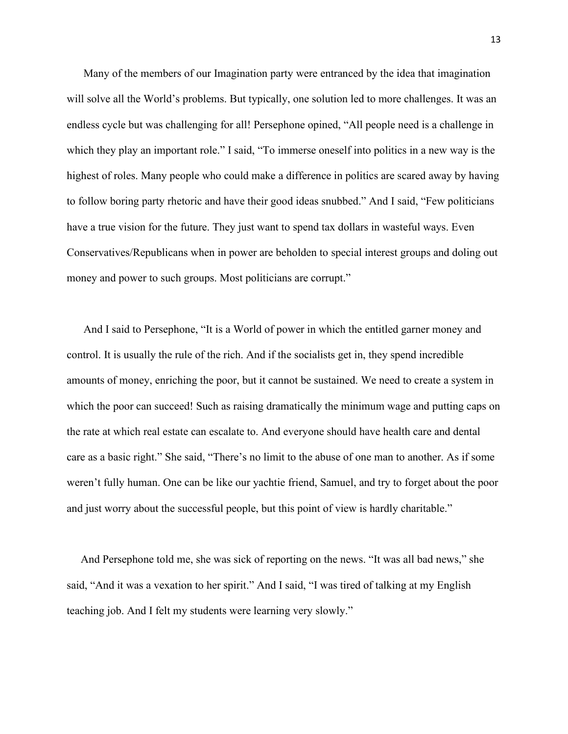Many of the members of our Imagination party were entranced by the idea that imagination will solve all the World's problems. But typically, one solution led to more challenges. It was an endless cycle but was challenging for all! Persephone opined, "All people need is a challenge in which they play an important role." I said, "To immerse oneself into politics in a new way is the highest of roles. Many people who could make a difference in politics are scared away by having to follow boring party rhetoric and have their good ideas snubbed." And I said, "Few politicians have a true vision for the future. They just want to spend tax dollars in wasteful ways. Even Conservatives/Republicans when in power are beholden to special interest groups and doling out money and power to such groups. Most politicians are corrupt."

 And I said to Persephone, "It is a World of power in which the entitled garner money and control. It is usually the rule of the rich. And if the socialists get in, they spend incredible amounts of money, enriching the poor, but it cannot be sustained. We need to create a system in which the poor can succeed! Such as raising dramatically the minimum wage and putting caps on the rate at which real estate can escalate to. And everyone should have health care and dental care as a basic right." She said, "There's no limit to the abuse of one man to another. As if some weren't fully human. One can be like our yachtie friend, Samuel, and try to forget about the poor and just worry about the successful people, but this point of view is hardly charitable."

 And Persephone told me, she was sick of reporting on the news. "It was all bad news," she said, "And it was a vexation to her spirit." And I said, "I was tired of talking at my English teaching job. And I felt my students were learning very slowly."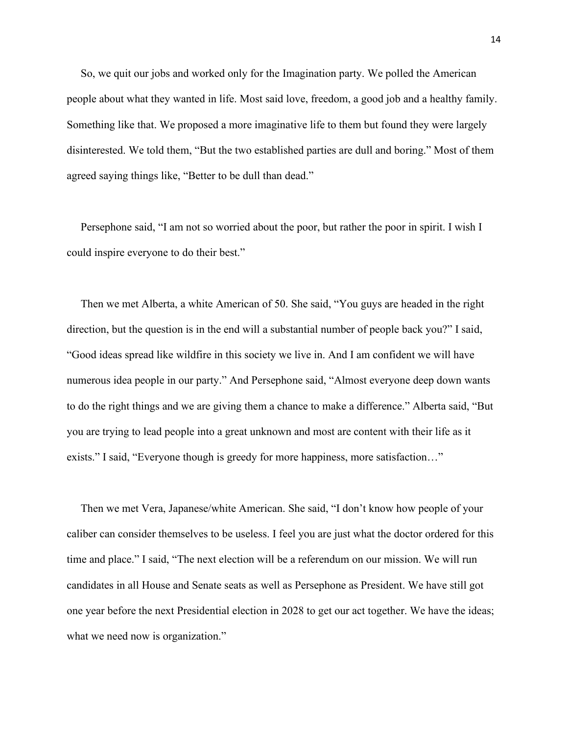So, we quit our jobs and worked only for the Imagination party. We polled the American people about what they wanted in life. Most said love, freedom, a good job and a healthy family. Something like that. We proposed a more imaginative life to them but found they were largely disinterested. We told them, "But the two established parties are dull and boring." Most of them agreed saying things like, "Better to be dull than dead."

 Persephone said, "I am not so worried about the poor, but rather the poor in spirit. I wish I could inspire everyone to do their best."

 Then we met Alberta, a white American of 50. She said, "You guys are headed in the right direction, but the question is in the end will a substantial number of people back you?" I said, "Good ideas spread like wildfire in this society we live in. And I am confident we will have numerous idea people in our party." And Persephone said, "Almost everyone deep down wants to do the right things and we are giving them a chance to make a difference." Alberta said, "But you are trying to lead people into a great unknown and most are content with their life as it exists." I said, "Everyone though is greedy for more happiness, more satisfaction…"

 Then we met Vera, Japanese/white American. She said, "I don't know how people of your caliber can consider themselves to be useless. I feel you are just what the doctor ordered for this time and place." I said, "The next election will be a referendum on our mission. We will run candidates in all House and Senate seats as well as Persephone as President. We have still got one year before the next Presidential election in 2028 to get our act together. We have the ideas; what we need now is organization."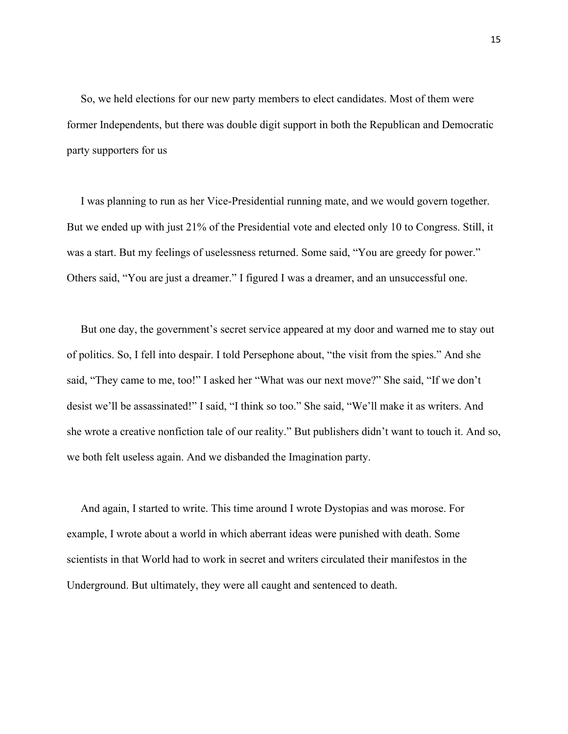So, we held elections for our new party members to elect candidates. Most of them were former Independents, but there was double digit support in both the Republican and Democratic party supporters for us

 I was planning to run as her Vice-Presidential running mate, and we would govern together. But we ended up with just 21% of the Presidential vote and elected only 10 to Congress. Still, it was a start. But my feelings of uselessness returned. Some said, "You are greedy for power." Others said, "You are just a dreamer." I figured I was a dreamer, and an unsuccessful one.

 But one day, the government's secret service appeared at my door and warned me to stay out of politics. So, I fell into despair. I told Persephone about, "the visit from the spies." And she said, "They came to me, too!" I asked her "What was our next move?" She said, "If we don't desist we'll be assassinated!" I said, "I think so too." She said, "We'll make it as writers. And she wrote a creative nonfiction tale of our reality." But publishers didn't want to touch it. And so, we both felt useless again. And we disbanded the Imagination party.

 And again, I started to write. This time around I wrote Dystopias and was morose. For example, I wrote about a world in which aberrant ideas were punished with death. Some scientists in that World had to work in secret and writers circulated their manifestos in the Underground. But ultimately, they were all caught and sentenced to death.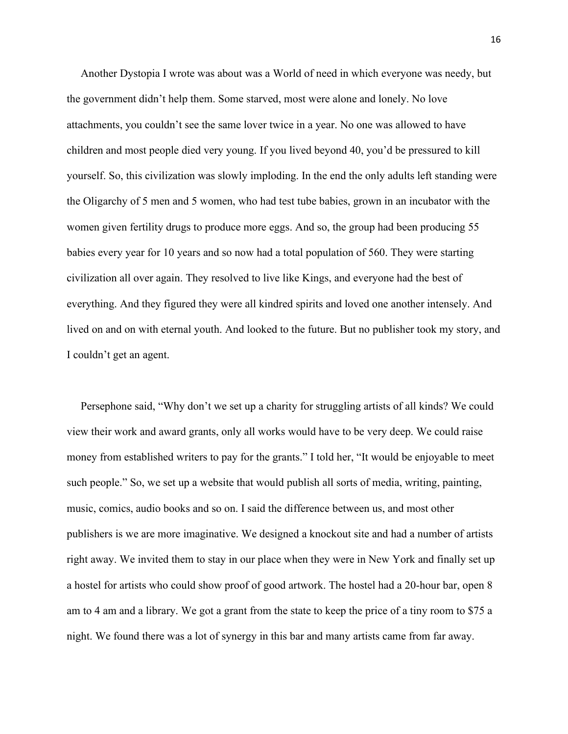Another Dystopia I wrote was about was a World of need in which everyone was needy, but the government didn't help them. Some starved, most were alone and lonely. No love attachments, you couldn't see the same lover twice in a year. No one was allowed to have children and most people died very young. If you lived beyond 40, you'd be pressured to kill yourself. So, this civilization was slowly imploding. In the end the only adults left standing were the Oligarchy of 5 men and 5 women, who had test tube babies, grown in an incubator with the women given fertility drugs to produce more eggs. And so, the group had been producing 55 babies every year for 10 years and so now had a total population of 560. They were starting civilization all over again. They resolved to live like Kings, and everyone had the best of everything. And they figured they were all kindred spirits and loved one another intensely. And lived on and on with eternal youth. And looked to the future. But no publisher took my story, and I couldn't get an agent.

 Persephone said, "Why don't we set up a charity for struggling artists of all kinds? We could view their work and award grants, only all works would have to be very deep. We could raise money from established writers to pay for the grants." I told her, "It would be enjoyable to meet such people." So, we set up a website that would publish all sorts of media, writing, painting, music, comics, audio books and so on. I said the difference between us, and most other publishers is we are more imaginative. We designed a knockout site and had a number of artists right away. We invited them to stay in our place when they were in New York and finally set up a hostel for artists who could show proof of good artwork. The hostel had a 20-hour bar, open 8 am to 4 am and a library. We got a grant from the state to keep the price of a tiny room to \$75 a night. We found there was a lot of synergy in this bar and many artists came from far away.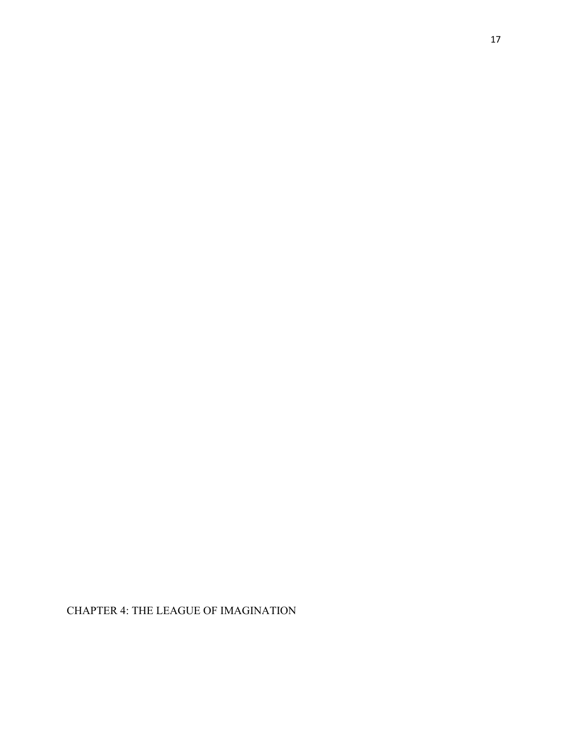CHAPTER 4: THE LEAGUE OF IMAGINATION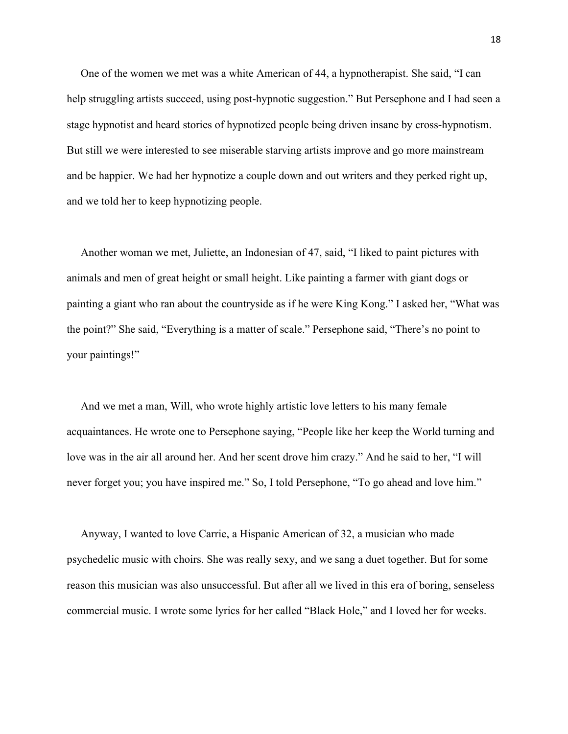One of the women we met was a white American of 44, a hypnotherapist. She said, "I can help struggling artists succeed, using post-hypnotic suggestion." But Persephone and I had seen a stage hypnotist and heard stories of hypnotized people being driven insane by cross-hypnotism. But still we were interested to see miserable starving artists improve and go more mainstream and be happier. We had her hypnotize a couple down and out writers and they perked right up, and we told her to keep hypnotizing people.

 Another woman we met, Juliette, an Indonesian of 47, said, "I liked to paint pictures with animals and men of great height or small height. Like painting a farmer with giant dogs or painting a giant who ran about the countryside as if he were King Kong." I asked her, "What was the point?" She said, "Everything is a matter of scale." Persephone said, "There's no point to your paintings!"

 And we met a man, Will, who wrote highly artistic love letters to his many female acquaintances. He wrote one to Persephone saying, "People like her keep the World turning and love was in the air all around her. And her scent drove him crazy." And he said to her, "I will never forget you; you have inspired me." So, I told Persephone, "To go ahead and love him."

 Anyway, I wanted to love Carrie, a Hispanic American of 32, a musician who made psychedelic music with choirs. She was really sexy, and we sang a duet together. But for some reason this musician was also unsuccessful. But after all we lived in this era of boring, senseless commercial music. I wrote some lyrics for her called "Black Hole," and I loved her for weeks.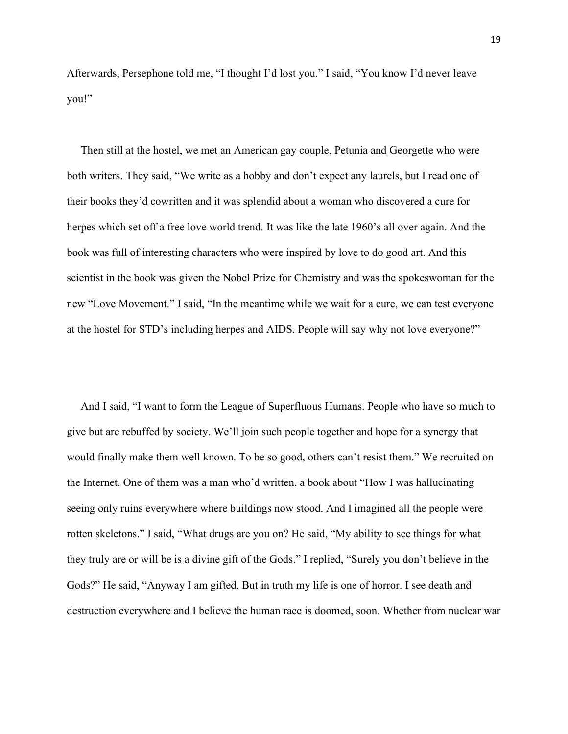Afterwards, Persephone told me, "I thought I'd lost you." I said, "You know I'd never leave you!"

 Then still at the hostel, we met an American gay couple, Petunia and Georgette who were both writers. They said, "We write as a hobby and don't expect any laurels, but I read one of their books they'd cowritten and it was splendid about a woman who discovered a cure for herpes which set off a free love world trend. It was like the late 1960's all over again. And the book was full of interesting characters who were inspired by love to do good art. And this scientist in the book was given the Nobel Prize for Chemistry and was the spokeswoman for the new "Love Movement." I said, "In the meantime while we wait for a cure, we can test everyone at the hostel for STD's including herpes and AIDS. People will say why not love everyone?"

 And I said, "I want to form the League of Superfluous Humans. People who have so much to give but are rebuffed by society. We'll join such people together and hope for a synergy that would finally make them well known. To be so good, others can't resist them." We recruited on the Internet. One of them was a man who'd written, a book about "How I was hallucinating seeing only ruins everywhere where buildings now stood. And I imagined all the people were rotten skeletons." I said, "What drugs are you on? He said, "My ability to see things for what they truly are or will be is a divine gift of the Gods." I replied, "Surely you don't believe in the Gods?" He said, "Anyway I am gifted. But in truth my life is one of horror. I see death and destruction everywhere and I believe the human race is doomed, soon. Whether from nuclear war